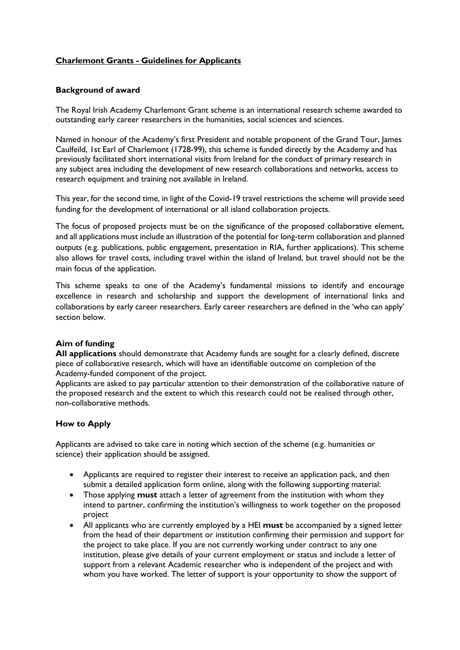# **Charlemont Grants - Guidelines for Applicants**

# **Background of award**

The Royal Irish Academy Charlemont Grant scheme is an international research scheme awarded to outstanding early career researchers in the humanities, social sciences and sciences.

Named in honour of the Academy's first President and notable proponent of the Grand Tour, James Caulfeild, 1st Earl of Charlemont (1728-99), this scheme is funded directly by the Academy and has previously facilitated short international visits from Ireland for the conduct of primary research in any subject area including the development of new research collaborations and networks, access to research equipment and training not available in Ireland.

This year, for the second time, in light of the Covid-19 travel restrictions the scheme will provide seed funding for the development of international or all island collaboration projects.

The focus of proposed projects must be on the significance of the proposed collaborative element, and all applications must include an illustration of the potential for long-term collaboration and planned outputs (e.g. publications, public engagement, presentation in RIA, further applications). This scheme also allows for travel costs, including travel within the island of Ireland, but travel should not be the main focus of the application.

This scheme speaks to one of the Academy's fundamental missions to identify and encourage excellence in research and scholarship and support the development of international links and collaborations by early career researchers. Early career researchers are defined in the 'who can apply' section below.

#### **Aim of funding**

**All applications** should demonstrate that Academy funds are sought for a clearly defined, discrete piece of collaborative research, which will have an identifiable outcome on completion of the Academy-funded component of the project.

Applicants are asked to pay particular attention to their demonstration of the collaborative nature of the proposed research and the extent to which this research could not be realised through other, non-collaborative methods.

# **How to Apply**

Applicants are advised to take care in noting which section of the scheme (e.g. humanities or science) their application should be assigned.

- Applicants are required to register their interest to receive an application pack, and then submit a detailed application form online, along with the following supporting material:
- Those applying **must** attach a letter of agreement from the institution with whom they intend to partner, confirming the institution's willingness to work together on the proposed project
- All applicants who are currently employed by a HEI **must** be accompanied by a signed letter from the head of their department or institution confirming their permission and support for the project to take place. If you are not currently working under contract to any one institution, please give details of your current employment or status and include a letter of support from a relevant Academic researcher who is independent of the project and with whom you have worked. The letter of support is your opportunity to show the support of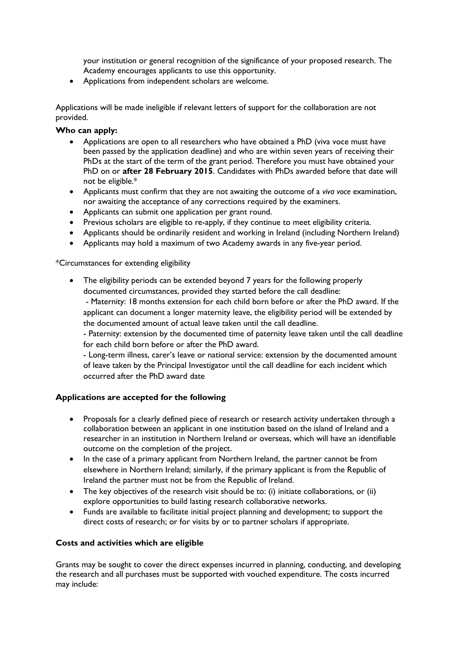your institution or general recognition of the significance of your proposed research. The Academy encourages applicants to use this opportunity.

• Applications from independent scholars are welcome.

Applications will be made ineligible if relevant letters of support for the collaboration are not provided.

# **Who can apply:**

- Applications are open to all researchers who have obtained a PhD (viva voce must have been passed by the application deadline) and who are within seven years of receiving their PhDs at the start of the term of the grant period. Therefore you must have obtained your PhD on or **after 28 February 2015**. Candidates with PhDs awarded before that date will not be eligible.\*
- Applicants must confirm that they are not awaiting the outcome of a *viva voce* examination, nor awaiting the acceptance of any corrections required by the examiners.
- Applicants can submit one application per grant round.
- Previous scholars are eligible to re-apply, if they continue to meet eligibility criteria.
- Applicants should be ordinarily resident and working in Ireland (including Northern Ireland)
- Applicants may hold a maximum of two Academy awards in any five-year period.

# \*Circumstances for extending eligibility

• The eligibility periods can be extended beyond 7 years for the following properly documented circumstances, provided they started before the call deadline:

- Maternity: 18 months extension for each child born before or after the PhD award. If the applicant can document a longer maternity leave, the eligibility period will be extended by the documented amount of actual leave taken until the call deadline.

- Paternity: extension by the documented time of paternity leave taken until the call deadline for each child born before or after the PhD award.

- Long-term illness, carer's leave or national service: extension by the documented amount of leave taken by the Principal Investigator until the call deadline for each incident which occurred after the PhD award date

#### **Applications are accepted for the following**

- Proposals for a clearly defined piece of research or research activity undertaken through a collaboration between an applicant in one institution based on the island of Ireland and a researcher in an institution in Northern Ireland or overseas, which will have an identifiable outcome on the completion of the project.
- In the case of a primary applicant from Northern Ireland, the partner cannot be from elsewhere in Northern Ireland; similarly, if the primary applicant is from the Republic of Ireland the partner must not be from the Republic of Ireland.
- The key objectives of the research visit should be to: (i) initiate collaborations, or (ii) explore opportunities to build lasting research collaborative networks.
- Funds are available to facilitate initial project planning and development; to support the direct costs of research; or for visits by or to partner scholars if appropriate.

# **Costs and activities which are eligible**

Grants may be sought to cover the direct expenses incurred in planning, conducting, and developing the research and all purchases must be supported with vouched expenditure. The costs incurred may include: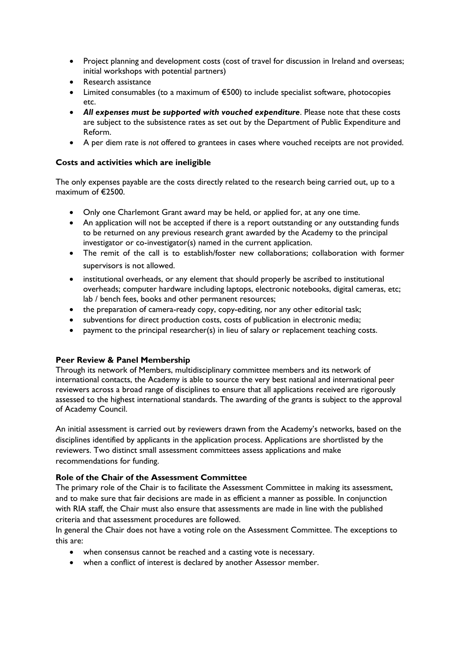- Project planning and development costs (cost of travel for discussion in Ireland and overseas; initial workshops with potential partners)
- Research assistance
- Limited consumables (to a maximum of €500) to include specialist software, photocopies etc.
- *All expenses must be supported with vouched expenditure*. Please note that these costs are subject to the subsistence rates as set out by the Department of Public Expenditure and Reform.
- A per diem rate is *not* offered to grantees in cases where vouched receipts are not provided.

# **Costs and activities which are ineligible**

The only expenses payable are the costs directly related to the research being carried out, up to a maximum of €2500.

- Only one Charlemont Grant award may be held, or applied for, at any one time.
- An application will not be accepted if there is a report outstanding or any outstanding funds to be returned on any previous research grant awarded by the Academy to the principal investigator or co-investigator(s) named in the current application.
- The remit of the call is to establish/foster new collaborations; collaboration with former supervisors is not allowed.
- institutional overheads, or any element that should properly be ascribed to institutional overheads; computer hardware including laptops, electronic notebooks, digital cameras, etc; lab / bench fees, books and other permanent resources;
- the preparation of camera-ready copy, copy-editing, nor any other editorial task;
- subventions for direct production costs, costs of publication in electronic media;
- payment to the principal researcher(s) in lieu of salary or replacement teaching costs.

# **Peer Review & Panel Membership**

Through its network of Members, multidisciplinary committee members and its network of international contacts, the Academy is able to source the very best national and international peer reviewers across a broad range of disciplines to ensure that all applications received are rigorously assessed to the highest international standards. The awarding of the grants is subject to the approval of Academy Council.

An initial assessment is carried out by reviewers drawn from the Academy's networks, based on the disciplines identified by applicants in the application process. Applications are shortlisted by the reviewers. Two distinct small assessment committees assess applications and make recommendations for funding.

#### **Role of the Chair of the Assessment Committee**

The primary role of the Chair is to facilitate the Assessment Committee in making its assessment, and to make sure that fair decisions are made in as efficient a manner as possible. In conjunction with RIA staff, the Chair must also ensure that assessments are made in line with the published criteria and that assessment procedures are followed.

In general the Chair does not have a voting role on the Assessment Committee. The exceptions to this are:

- when consensus cannot be reached and a casting vote is necessary.
- when a conflict of interest is declared by another Assessor member.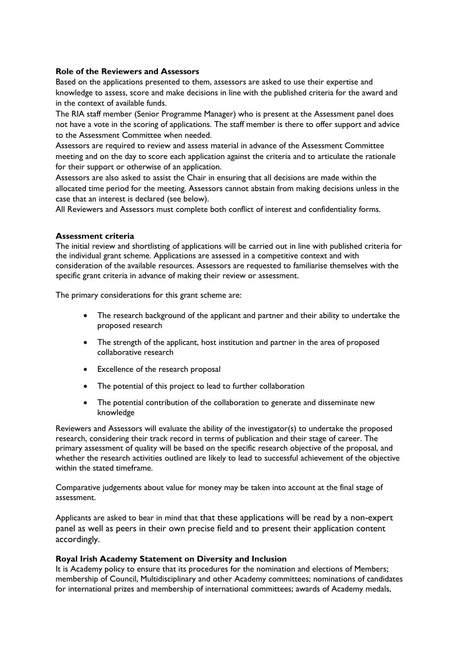### **Role of the Reviewers and Assessors**

Based on the applications presented to them, assessors are asked to use their expertise and knowledge to assess, score and make decisions in line with the published criteria for the award and in the context of available funds.

The RIA staff member (Senior Programme Manager) who is present at the Assessment panel does not have a vote in the scoring of applications. The staff member is there to offer support and advice to the Assessment Committee when needed.

Assessors are required to review and assess material in advance of the Assessment Committee meeting and on the day to score each application against the criteria and to articulate the rationale for their support or otherwise of an application.

Assessors are also asked to assist the Chair in ensuring that all decisions are made within the allocated time period for the meeting. Assessors cannot abstain from making decisions unless in the case that an interest is declared (see below).

All Reviewers and Assessors must complete both conflict of interest and confidentiality forms.

# **Assessment criteria**

The initial review and shortlisting of applications will be carried out in line with published criteria for the individual grant scheme. Applications are assessed in a competitive context and with consideration of the available resources. Assessors are requested to familiarise themselves with the specific grant criteria in advance of making their review or assessment.

The primary considerations for this grant scheme are:

- The research background of the applicant and partner and their ability to undertake the proposed research
- The strength of the applicant, host institution and partner in the area of proposed collaborative research
- Excellence of the research proposal
- The potential of this project to lead to further collaboration
- The potential contribution of the collaboration to generate and disseminate new knowledge

Reviewers and Assessors will evaluate the ability of the investigator(s) to undertake the proposed research, considering their track record in terms of publication and their stage of career. The primary assessment of quality will be based on the specific research objective of the proposal, and whether the research activities outlined are likely to lead to successful achievement of the objective within the stated timeframe.

Comparative judgements about value for money may be taken into account at the final stage of assessment.

Applicants are asked to bear in mind that that these applications will be read by a non-expert panel as well as peers in their own precise field and to present their application content accordingly.

#### **Royal Irish Academy Statement on Diversity and Inclusion**

It is Academy policy to ensure that its procedures for the nomination and elections of Members; membership of Council, Multidisciplinary and other Academy committees; nominations of candidates for international prizes and membership of international committees; awards of Academy medals,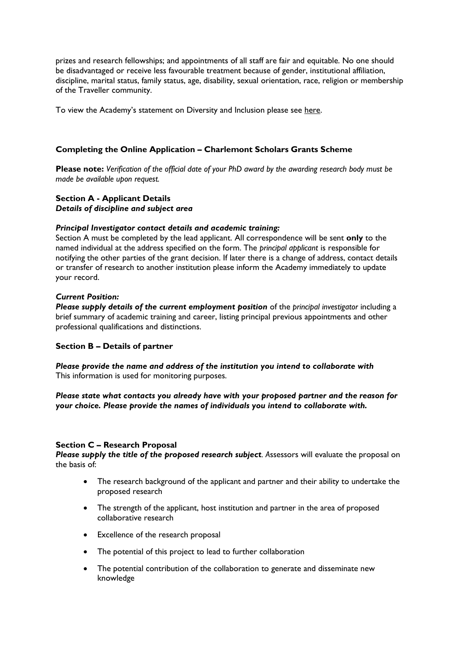prizes and research fellowships; and appointments of all staff are fair and equitable. No one should be disadvantaged or receive less favourable treatment because of gender, institutional affiliation, discipline, marital status, family status, age, disability, sexual orientation, race, religion or membership of the Traveller community.

To view the Academy's statement on Diversity and Inclusion please see [here.](https://www.ria.ie/sites/default/files/royal-irish-academy-diversity-and-inclusion-statement.pdf)

# **Completing the Online Application – Charlemont Scholars Grants Scheme**

**Please note:** *Verification of the official date of your PhD award by the awarding research body must be made be available upon request.* 

### **Section A - Applicant Details**  *Details of discipline and subject area*

#### *Principal Investigator contact details and academic training:*

Section A must be completed by the lead applicant. All correspondence will be sent **only** to the named individual at the address specified on the form. The *principal applicant* is responsible for notifying the other parties of the grant decision. If later there is a change of address, contact details or transfer of research to another institution please inform the Academy immediately to update your record.

# *Current Position:*

*Please supply details of the current employment position* of the *principal investigator* including a brief summary of academic training and career, listing principal previous appointments and other professional qualifications and distinctions.

# **Section B – Details of partner**

*Please provide the name and address of the institution you intend to collaborate with*  This information is used for monitoring purposes.

# *Please state what contacts you already have with your proposed partner and the reason for your choice. Please provide the names of individuals you intend to collaborate with.*

#### **Section C – Research Proposal**

*Please supply the title of the proposed research subject. A*ssessors will evaluate the proposal on the basis of:

- The research background of the applicant and partner and their ability to undertake the proposed research
- The strength of the applicant, host institution and partner in the area of proposed collaborative research
- Excellence of the research proposal
- The potential of this project to lead to further collaboration
- The potential contribution of the collaboration to generate and disseminate new knowledge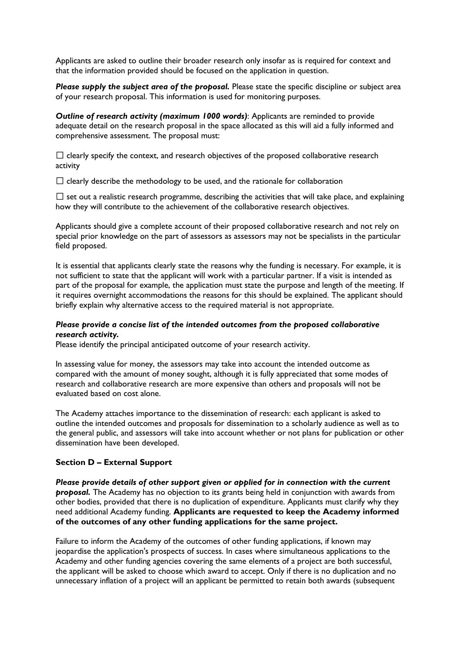Applicants are asked to outline their broader research only insofar as is required for context and that the information provided should be focused on the application in question.

**Please supply the subject area of the proposal.** Please state the specific discipline or subject area of your research proposal. This information is used for monitoring purposes.

*Outline of research activity (maximum 1000 words)*: Applicants are reminded to provide adequate detail on the research proposal in the space allocated as this will aid a fully informed and comprehensive assessment. The proposal must:

 $\Box$  clearly specify the context, and research objectives of the proposed collaborative research activity

 $\Box$  clearly describe the methodology to be used, and the rationale for collaboration

 $\square$  set out a realistic research programme, describing the activities that will take place, and explaining how they will contribute to the achievement of the collaborative research objectives.

Applicants should give a complete account of their proposed collaborative research and not rely on special prior knowledge on the part of assessors as assessors may not be specialists in the particular field proposed.

It is essential that applicants clearly state the reasons why the funding is necessary. For example, it is not sufficient to state that the applicant will work with a particular partner. If a visit is intended as part of the proposal for example, the application must state the purpose and length of the meeting. If it requires overnight accommodations the reasons for this should be explained. The applicant should briefly explain why alternative access to the required material is not appropriate.

### *Please provide a concise list of the intended outcomes from the proposed collaborative research activity.*

Please identify the principal anticipated outcome of your research activity.

In assessing value for money, the assessors may take into account the intended outcome as compared with the amount of money sought, although it is fully appreciated that some modes of research and collaborative research are more expensive than others and proposals will not be evaluated based on cost alone.

The Academy attaches importance to the dissemination of research: each applicant is asked to outline the intended outcomes and proposals for dissemination to a scholarly audience as well as to the general public, and assessors will take into account whether or not plans for publication or other dissemination have been developed.

#### **Section D – External Support**

*Please provide details of other support given or applied for in connection with the current proposal.* The Academy has no objection to its grants being held in conjunction with awards from other bodies, provided that there is no duplication of expenditure. Applicants must clarify why they need additional Academy funding. **Applicants are requested to keep the Academy informed of the outcomes of any other funding applications for the same project.**

Failure to inform the Academy of the outcomes of other funding applications, if known may jeopardise the application's prospects of success. In cases where simultaneous applications to the Academy and other funding agencies covering the same elements of a project are both successful, the applicant will be asked to choose which award to accept. Only if there is no duplication and no unnecessary inflation of a project will an applicant be permitted to retain both awards (subsequent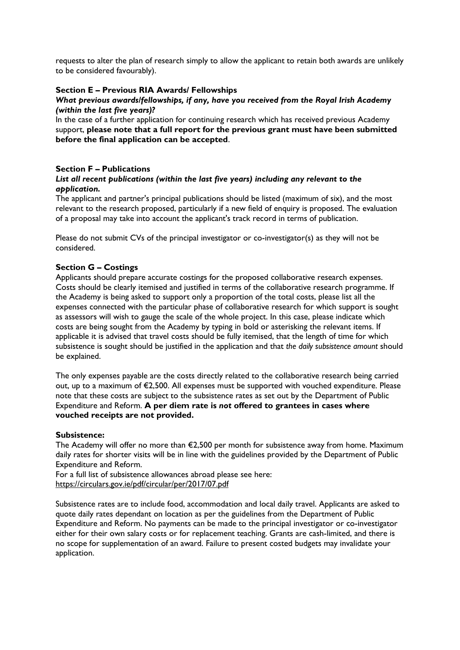requests to alter the plan of research simply to allow the applicant to retain both awards are unlikely to be considered favourably).

# **Section E – Previous RIA Awards/ Fellowships**

#### *What previous awards/fellowships, if any, have you received from the Royal Irish Academy (within the last five years)?*

In the case of a further application for continuing research which has received previous Academy support, **please note that a full report for the previous grant must have been submitted before the final application can be accepted**.

# **Section F – Publications**

### *List all recent publications (within the last five years) including any relevant to the application.*

The applicant and partner's principal publications should be listed (maximum of six), and the most relevant to the research proposed, particularly if a new field of enquiry is proposed. The evaluation of a proposal may take into account the applicant's track record in terms of publication.

Please do not submit CVs of the principal investigator or co-investigator(s) as they will not be considered.

#### **Section G – Costings**

Applicants should prepare accurate costings for the proposed collaborative research expenses. Costs should be clearly itemised and justified in terms of the collaborative research programme. If the Academy is being asked to support only a proportion of the total costs, please list all the expenses connected with the particular phase of collaborative research for which support is sought as assessors will wish to gauge the scale of the whole project. In this case, please indicate which costs are being sought from the Academy by typing in bold or asterisking the relevant items. If applicable it is advised that travel costs should be fully itemised, that the length of time for which subsistence is sought should be justified in the application and that *the daily subsistence amount* should be explained.

The only expenses payable are the costs directly related to the collaborative research being carried out, up to a maximum of €2,500. All expenses must be supported with vouched expenditure. Please note that these costs are subject to the subsistence rates as set out by the Department of Public Expenditure and Reform. **A per diem rate is** *not* **offered to grantees in cases where vouched receipts are not provided.** 

#### **Subsistence:**

The Academy will offer no more than €2,500 per month for subsistence away from home. Maximum daily rates for shorter visits will be in line with the guidelines provided by the Department of Public Expenditure and Reform.

For a full list of subsistence allowances abroad please see here: <https://circulars.gov.ie/pdf/circular/per/2017/07.pdf>

Subsistence rates are to include food, accommodation and local daily travel. Applicants are asked to quote daily rates dependant on location as per the guidelines from the Department of Public Expenditure and Reform. No payments can be made to the principal investigator or co-investigator either for their own salary costs or for replacement teaching. Grants are cash-limited, and there is no scope for supplementation of an award. Failure to present costed budgets may invalidate your application.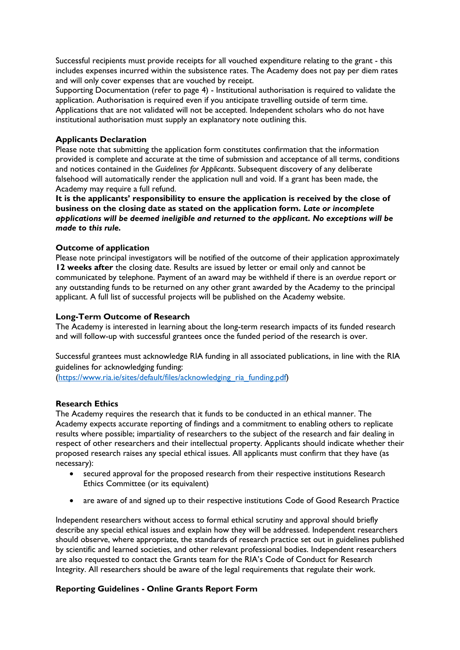Successful recipients must provide receipts for all vouched expenditure relating to the grant - this includes expenses incurred within the subsistence rates. The Academy does not pay per diem rates and will only cover expenses that are vouched by receipt.

Supporting Documentation (refer to page 4) - Institutional authorisation is required to validate the application. Authorisation is required even if you anticipate travelling outside of term time. Applications that are not validated will not be accepted. Independent scholars who do not have institutional authorisation must supply an explanatory note outlining this.

# **Applicants Declaration**

Please note that submitting the application form constitutes confirmation that the information provided is complete and accurate at the time of submission and acceptance of all terms, conditions and notices contained in the *Guidelines for Applicants*. Subsequent discovery of any deliberate falsehood will automatically render the application null and void. If a grant has been made, the Academy may require a full refund.

**It is the applicants' responsibility to ensure the application is received by the close of business on the closing date as stated on the application form.** *Late or incomplete applications will be deemed ineligible and returned to the applicant. No exceptions will be made to this rule.* 

# **Outcome of application**

Please note principal investigators will be notified of the outcome of their application approximately **12 weeks after** the closing date. Results are issued by letter or email only and cannot be communicated by telephone. Payment of an award may be withheld if there is an *overdue* report or any outstanding funds to be returned on any other grant awarded by the Academy to the principal applicant. A full list of successful projects will be published on the Academy website.

# **Long-Term Outcome of Research**

The Academy is interested in learning about the long-term research impacts of its funded research and will follow-up with successful grantees once the funded period of the research is over.

Successful grantees must acknowledge RIA funding in all associated publications, in line with the RIA guidelines for acknowledging funding:

(https://www.ria.ie/sites/default/files/acknowledging ria funding.pdf)

#### **Research Ethics**

The Academy requires the research that it funds to be conducted in an ethical manner. The Academy expects accurate reporting of findings and a commitment to enabling others to replicate results where possible; impartiality of researchers to the subject of the research and fair dealing in respect of other researchers and their intellectual property. Applicants should indicate whether their proposed research raises any special ethical issues. All applicants must confirm that they have (as necessary):

- secured approval for the proposed research from their respective institutions Research Ethics Committee (or its equivalent)
- are aware of and signed up to their respective institutions Code of Good Research Practice

Independent researchers without access to formal ethical scrutiny and approval should briefly describe any special ethical issues and explain how they will be addressed. Independent researchers should observe, where appropriate, the standards of research practice set out in guidelines published by scientific and learned societies, and other relevant professional bodies. Independent researchers are also requested to contact the Grants team for the RIA's Code of Conduct for Research Integrity. All researchers should be aware of the legal requirements that regulate their work.

# **Reporting Guidelines - Online Grants Report Form**